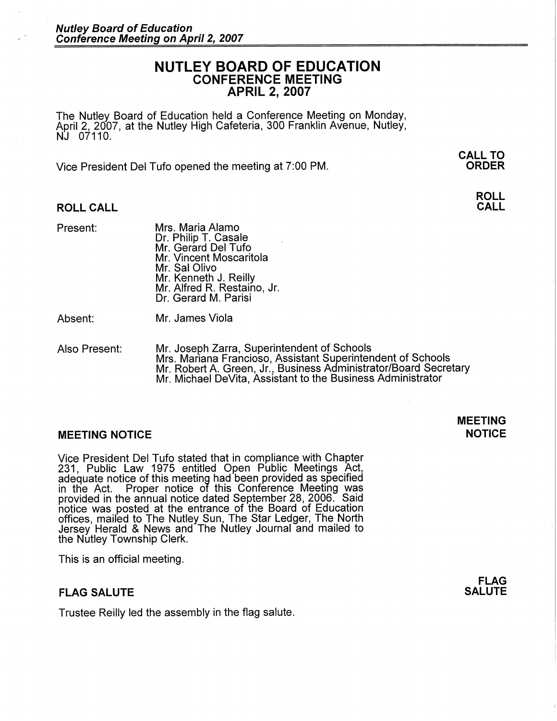## **NUTLEY BOARD OF EDUCATION CONFERENCE MEETING APRIL 2, 2007**

The Nutley Board of Education held a Conference Meeting on Monday, April 2, 2007, at the Nutley High Cafeteria, 300 Franklin Avenue, Nutley, NJ 07110.

Vice President Del Tufo opened the meeting at 7:00 PM.

**ROLL CALL** 

Present: Mrs. Maria Alamo Dr. Philip T. Casale Mr. Gerard Del Tufo Mr. Vincent Moscaritola Mr. Sal Olivo Mr. Kenneth J. Reilly Mr. Alfred R. Restaino, Jr. Dr. Gerard M. Parisi

Absent: Mr. James Viola

Also Present: Mr. Joseph Zarra, Superintendent of Schools Mrs. Mariana Franciosa, Assistant Superintendent of Schools Mr. Robert A. Green, Jr., Business Administrator/Board Secretary Mr. Michael DeVita, Assistant to the Business Administrator

## **MEETING NOTICE NOTICE**

Vice President Del Tufo stated that in compliance with Chapter 231, Public Law 1975 entitled Open Public Meetings Act, adequate notice of this meeting had been provided as specified in the Act. Proper notice of this Conference Meeting was provided in the annual notice dated September 28, 2006. Said notice was posted at the entrance of the Board of Education offices, mailed to The Nutley Sun, The Star Ledger, The North Jersey Herald & News and The Nutley Journal and mailed to the Nutley Township Clerk.

This is an official meeting.

## **FLAG SALUTE**

Trustee Reilly led the assembly in the flag salute.

# **MEETING**

**FLAG SALUTE** 

**CALL TO ORDER** 

> **ROLL CALL**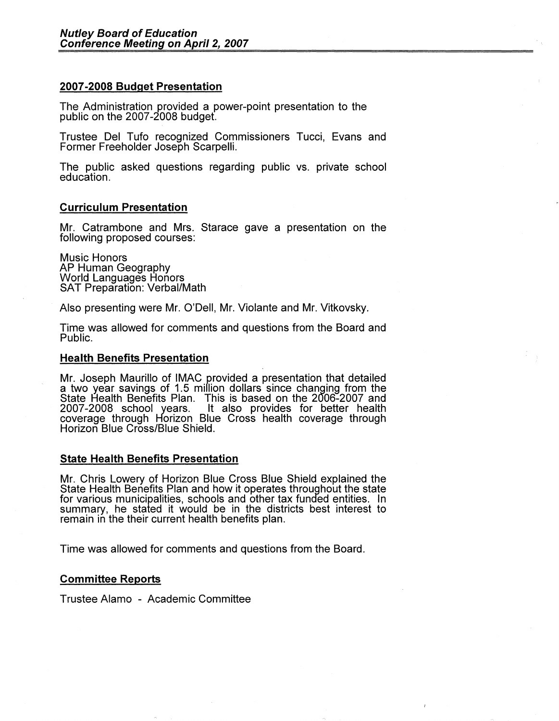## **2007 -2008 Budget Presentation**

The Administration provided a power-point presentation to the public on the 2007 -2008 budget.

Trustee Del Tufo recognized Commissioners Tucci, Evans and Former Freeholder Joseph Scarpelli.

The public asked questions regarding public vs. private school education.

## **Curriculum Presentation**

Mr. Catrambone and Mrs. Starace gave a presentation on the following proposed courses:

Music Honors<br>AP Human Geography **World Languages Honors** SAT Preparation: Verbal/Math

Also presenting were Mr. O'Dell, Mr. Violante and Mr. Vitkovsky.

Time was allowed for comments and questions from the Board and Public.

#### **Health Benefits Presentation**

Mr. Joseph Maurillo of IMAC provided a presentation that detailed a two year savings of 1.5 million dollars since changing from the State Health Benefits Plan. This is based on the 2006-2007 and 2007-2008 school years. It also provides for better health coverage through Horizon Blue Cross health coverage through<br>Horizon Blue Cross/Blue Shield.

#### **State Health Benefits Presentation**

Mr. Chris Lowery of Horizon Blue Cross Blue Shield explained the State Health Benefits Plan and how it operates throughout the state for various municipalities, schools and other tax funded entities. In summary, he stated it would be in the districts best interest to remain in the their current health benefits plan.

Time was allowed for comments and questions from the Board.

#### **Committee Reports**

Trustee Alamo - Academic Committee